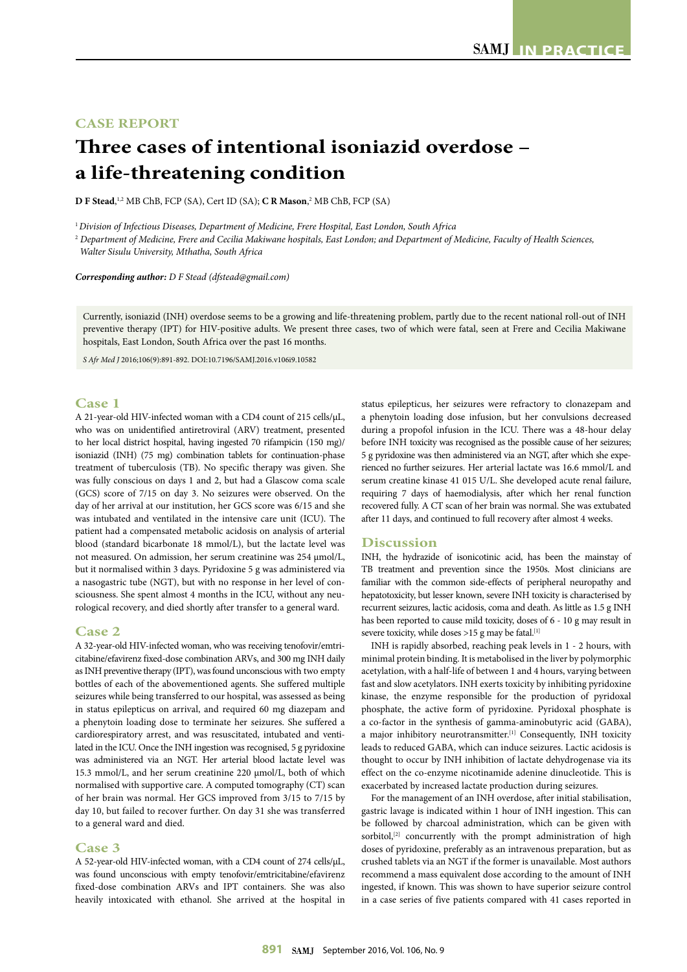## **CASE REPORT**

# **Three cases of intentional isoniazid overdose – a life-threatening condition**

**D F Stead**, 1,2 MB ChB, FCP (SA), Cert ID (SA); **C R Mason**, 2 MB ChB, FCP (SA)

<sup>1</sup>*Division of Infectious Diseases, Department of Medicine, Frere Hospital, East London, South Africa*

<sup>2</sup> *Department of Medicine, Frere and Cecilia Makiwane hospitals, East London; and Department of Medicine, Faculty of Health Sciences, Walter Sisulu University, Mthatha, South Africa*

*Corresponding author: D F Stead (dfstead@gmail.com)*

Currently, isoniazid (INH) overdose seems to be a growing and life-threatening problem, partly due to the recent national roll-out of INH preventive therapy (IPT) for HIV-positive adults. We present three cases, two of which were fatal, seen at Frere and Cecilia Makiwane hospitals, East London, South Africa over the past 16 months.

*S Afr Med J* 2016;106(9):891-892. DOI:10.7196/SAMJ.2016.v106i9.10582

### **Case 1**

A 21-year-old HIV-infected woman with a CD4 count of 215 cells/µL, who was on unidentified antiretroviral (ARV) treatment, presented to her local district hospital, having ingested 70 rifampicin (150 mg)/ isoniazid (INH) (75 mg) combination tablets for continuation-phase treatment of tuberculosis (TB). No specific therapy was given. She was fully conscious on days 1 and 2, but had a Glascow coma scale (GCS) score of 7/15 on day 3. No seizures were observed. On the day of her arrival at our institution, her GCS score was 6/15 and she was intubated and ventilated in the intensive care unit (ICU). The patient had a compensated metabolic acidosis on analysis of arterial blood (standard bicarbonate 18 mmol/L), but the lactate level was not measured. On admission, her serum creatinine was 254 μmol/L, but it normalised within 3 days. Pyridoxine 5 g was administered via a nasogastric tube (NGT), but with no response in her level of consciousness. She spent almost 4 months in the ICU, without any neurological recovery, and died shortly after transfer to a general ward.

#### **Case 2**

A 32-year-old HIV-infected woman, who was receiving tenofovir/emtricitabine/efavirenz fixed-dose combination ARVs, and 300 mg INH daily as INH preventive therapy (IPT), was found unconscious with two empty bottles of each of the abovementioned agents. She suffered multiple seizures while being transferred to our hospital, was assessed as being in status epilepticus on arrival, and required 60 mg diazepam and a phenytoin loading dose to terminate her seizures. She suffered a cardiorespiratory arrest, and was resuscitated, intubated and ventilated in the ICU. Once the INH ingestion was recognised, 5 g pyridoxine was administered via an NGT. Her arterial blood lactate level was 15.3 mmol/L, and her serum creatinine 220 μmol/L, both of which normalised with supportive care. A computed tomography (CT) scan of her brain was normal. Her GCS improved from 3/15 to 7/15 by day 10, but failed to recover further. On day 31 she was transferred to a general ward and died.

#### **Case 3**

A 52-year-old HIV-infected woman, with a CD4 count of 274 cells/µL, was found unconscious with empty tenofovir/emtricitabine/efavirenz fixed-dose combination ARVs and IPT containers. She was also heavily intoxicated with ethanol. She arrived at the hospital in

status epilepticus, her seizures were refractory to clonazepam and a phenytoin loading dose infusion, but her convulsions decreased during a propofol infusion in the ICU. There was a 48-hour delay before INH toxicity was recognised as the possible cause of her seizures; 5 g pyridoxine was then administered via an NGT, after which she experienced no further seizures. Her arterial lactate was 16.6 mmol/L and serum creatine kinase 41 015 U/L. She developed acute renal failure, requiring 7 days of haemodialysis, after which her renal function recovered fully. A CT scan of her brain was normal. She was extubated after 11 days, and continued to full recovery after almost 4 weeks.

#### **Discussion**

INH, the hydrazide of isonicotinic acid, has been the mainstay of TB treatment and prevention since the 1950s. Most clinicians are familiar with the common side-effects of peripheral neuropathy and hepatotoxicity, but lesser known, severe INH toxicity is characterised by recurrent seizures, lactic acidosis, coma and death. As little as 1.5 g INH has been reported to cause mild toxicity, doses of 6 - 10 g may result in severe toxicity, while doses  $>15$  g may be fatal.  $^{\left[1\right]}$ 

INH is rapidly absorbed, reaching peak levels in 1 - 2 hours, with minimal protein binding. It is metabolised in the liver by polymorphic acetylation, with a half-life of between 1 and 4 hours, varying between fast and slow acetylators. INH exerts toxicity by inhibiting pyridoxine kinase, the enzyme responsible for the production of pyridoxal phosphate, the active form of pyridoxine. Pyridoxal phosphate is a co-factor in the synthesis of gamma-aminobutyric acid (GABA), a major inhibitory neurotransmitter.<sup>[1]</sup> Consequently, INH toxicity leads to reduced GABA, which can induce seizures. Lactic acidosis is thought to occur by INH inhibition of lactate dehydrogenase via its effect on the co-enzyme nicotinamide adenine dinucleotide. This is exacerbated by increased lactate production during seizures.

For the management of an INH overdose, after initial stabilisation, gastric lavage is indicated within 1 hour of INH ingestion. This can be followed by charcoal administration, which can be given with sorbitol,<sup>[2]</sup> concurrently with the prompt administration of high doses of pyridoxine, preferably as an intravenous preparation, but as crushed tablets via an NGT if the former is unavailable. Most authors recommend a mass equivalent dose according to the amount of INH ingested, if known. This was shown to have superior seizure control in a case series of five patients compared with 41 cases reported in